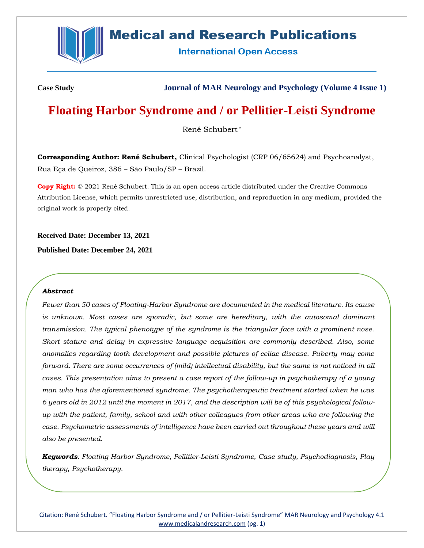

# **Medical and Research Publications**

**International Open Access** 

**Case Study Journal of MAR Neurology and Psychology (Volume 4 Issue 1)**

# **Floating Harbor Syndrome and / or Pellitier-Leisti Syndrome**

René Schubert \*

**Corresponding Author: René Schubert,** Clinical Psychologist (CRP 06/65624) and Psychoanalyst, Rua Eça de Queiroz, 386 – São Paulo/SP – Brazil.

**Copy Right:** © 2021 René Schubert. This is an open access article distributed under the Creative Commons Attribution License, which permits unrestricted use, distribution, and reproduction in any medium, provided the original work is properly cited.

**Received Date: December 13, 2021**

**Published Date: December 24, 2021**

#### *Abstract*

*Fewer than 50 cases of Floating-Harbor Syndrome are documented in the medical literature. Its cause is unknown. Most cases are sporadic, but some are hereditary, with the autosomal dominant transmission. The typical phenotype of the syndrome is the triangular face with a prominent nose. Short stature and delay in expressive language acquisition are commonly described. Also, some anomalies regarding tooth development and possible pictures of celiac disease. Puberty may come forward. There are some occurrences of (mild) intellectual disability, but the same is not noticed in all cases. This presentation aims to present a case report of the follow-up in psychotherapy of a young man who has the aforementioned syndrome. The psychotherapeutic treatment started when he was 6 years old in 2012 until the moment in 2017, and the description will be of this psychological followup with the patient, family, school and with other colleagues from other areas who are following the case. Psychometric assessments of intelligence have been carried out throughout these years and will also be presented.*

*Keywords: Floating Harbor Syndrome, Pellitier-Leisti Syndrome, Case study, Psychodiagnosis, Play therapy, Psychotherapy.*

Citation: René Schubert. "Floating Harbor Syndrome and / or Pellitier-Leisti Syndrome" MAR Neurology and Psychology 4.1 [www.medicalandresearch.com](http://www.medicalandresearch.com/) (pg. 1)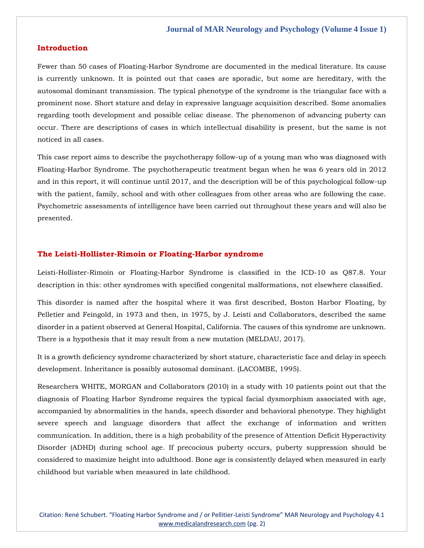#### **Introduction**

Fewer than 50 cases of Floating-Harbor Syndrome are documented in the medical literature. Its cause is currently unknown. It is pointed out that cases are sporadic, but some are hereditary, with the autosomal dominant transmission. The typical phenotype of the syndrome is the triangular face with a prominent nose. Short stature and delay in expressive language acquisition described. Some anomalies regarding tooth development and possible celiac disease. The phenomenon of advancing puberty can occur. There are descriptions of cases in which intellectual disability is present, but the same is not noticed in all cases.

This case report aims to describe the psychotherapy follow-up of a young man who was diagnosed with Floating-Harbor Syndrome. The psychotherapeutic treatment began when he was 6 years old in 2012 and in this report, it will continue until 2017, and the description will be of this psychological follow-up with the patient, family, school and with other colleagues from other areas who are following the case. Psychometric assessments of intelligence have been carried out throughout these years and will also be presented.

#### **The Leisti-Hollister-Rimoin or Floating-Harbor syndrome**

Leisti-Hollister-Rimoin or Floating-Harbor Syndrome is classified in the ICD-10 as Q87.8. Your description in this: other syndromes with specified congenital malformations, not elsewhere classified.

This disorder is named after the hospital where it was first described, Boston Harbor Floating, by Pelletier and Feingold, in 1973 and then, in 1975, by J. Leisti and Collaborators, described the same disorder in a patient observed at General Hospital, California. The causes of this syndrome are unknown. There is a hypothesis that it may result from a new mutation (MELDAU, 2017).

It is a growth deficiency syndrome characterized by short stature, characteristic face and delay in speech development. Inheritance is possibly autosomal dominant. (LACOMBE, 1995).

Researchers WHITE, MORGAN and Collaborators (2010) in a study with 10 patients point out that the diagnosis of Floating Harbor Syndrome requires the typical facial dysmorphism associated with age, accompanied by abnormalities in the hands, speech disorder and behavioral phenotype. They highlight severe speech and language disorders that affect the exchange of information and written communication. In addition, there is a high probability of the presence of Attention Deficit Hyperactivity Disorder (ADHD) during school age. If precocious puberty occurs, puberty suppression should be considered to maximize height into adulthood. Bone age is consistently delayed when measured in early childhood but variable when measured in late childhood.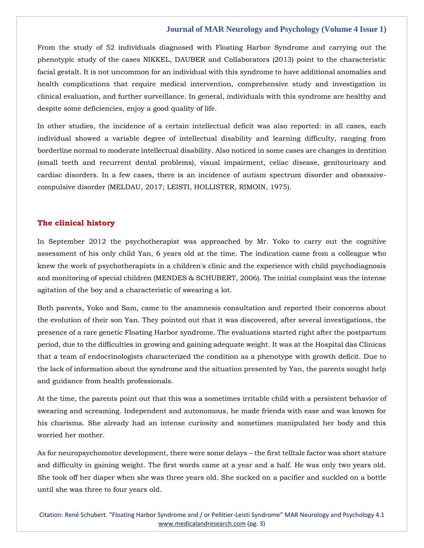From the study of 52 individuals diagnosed with Floating Harbor Syndrome and carrying out the phenotypic study of the cases NIKKEL, DAUBER and Collaborators (2013) point to the characteristic facial gestalt. It is not uncommon for an individual with this syndrome to have additional anomalies and health complications that require medical intervention, comprehensive study and investigation in clinical evaluation, and further surveillance. In general, individuals with this syndrome are healthy and despite some deficiencies, enjoy a good quality of life.

In other studies, the incidence of a certain intellectual deficit was also reported: in all cases, each individual showed a variable degree of intellectual disability and learning difficulty, ranging from borderline normal to moderate intellectual disability. Also noticed in some cases are changes in dentition (small teeth and recurrent dental problems), visual impairment, celiac disease, genitourinary and cardiac disorders. In a few cases, there is an incidence of autism spectrum disorder and obsessivecompulsive disorder (MELDAU, 2017; LEISTI, HOLLISTER, RIMOIN, 1975).

### **The clinical history**

In September 2012 the psychotherapist was approached by Mr. Yoko to carry out the cognitive assessment of his only child Yan, 6 years old at the time. The indication came from a colleague who knew the work of psychotherapists in a children's clinic and the experience with child psychodiagnosis and monitoring of special children (MENDES & SCHUBERT, 2006). The initial complaint was the intense agitation of the boy and a characteristic of swearing a lot.

Both parents, Yoko and Sam, came to the anamnesis consultation and reported their concerns about the evolution of their son Yan. They pointed out that it was discovered, after several investigations, the presence of a rare genetic Floating Harbor syndrome. The evaluations started right after the postpartum period, due to the difficulties in growing and gaining adequate weight. It was at the Hospital das Clinicas that a team of endocrinologists characterized the condition as a phenotype with growth deficit. Due to the lack of information about the syndrome and the situation presented by Yan, the parents sought help and guidance from health professionals.

At the time, the parents point out that this was a sometimes irritable child with a persistent behavior of swearing and screaming. Independent and autonomous, he made friends with ease and was known for his charisma. She already had an intense curiosity and sometimes manipulated her body and this worried her mother.

As for neuropsychomotor development, there were some delays – the first telltale factor was short stature and difficulty in gaining weight. The first words came at a year and a half. He was only two years old. She took off her diaper when she was three years old. She sucked on a pacifier and suckled on a bottle until she was three to four years old.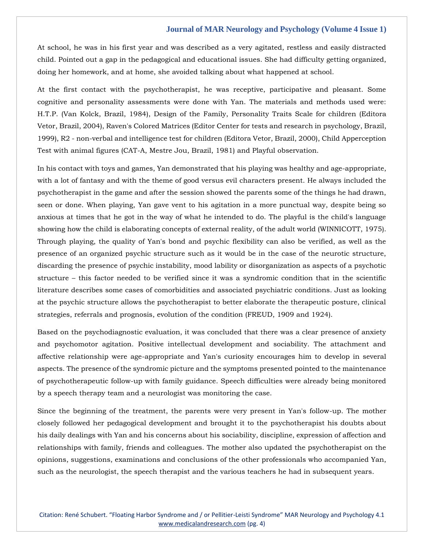At school, he was in his first year and was described as a very agitated, restless and easily distracted child. Pointed out a gap in the pedagogical and educational issues. She had difficulty getting organized, doing her homework, and at home, she avoided talking about what happened at school.

At the first contact with the psychotherapist, he was receptive, participative and pleasant. Some cognitive and personality assessments were done with Yan. The materials and methods used were: H.T.P. (Van Kolck, Brazil, 1984), Design of the Family, Personality Traits Scale for children (Editora Vetor, Brazil, 2004), Raven's Colored Matrices (Editor Center for tests and research in psychology, Brazil, 1999), R2 - non-verbal and intelligence test for children (Editora Vetor, Brazil, 2000), Child Apperception Test with animal figures (CAT-A, Mestre Jou, Brazil, 1981) and Playful observation.

In his contact with toys and games, Yan demonstrated that his playing was healthy and age-appropriate, with a lot of fantasy and with the theme of good versus evil characters present. He always included the psychotherapist in the game and after the session showed the parents some of the things he had drawn, seen or done. When playing, Yan gave vent to his agitation in a more punctual way, despite being so anxious at times that he got in the way of what he intended to do. The playful is the child's language showing how the child is elaborating concepts of external reality, of the adult world (WINNICOTT, 1975). Through playing, the quality of Yan's bond and psychic flexibility can also be verified, as well as the presence of an organized psychic structure such as it would be in the case of the neurotic structure, discarding the presence of psychic instability, mood lability or disorganization as aspects of a psychotic structure – this factor needed to be verified since it was a syndromic condition that in the scientific literature describes some cases of comorbidities and associated psychiatric conditions. Just as looking at the psychic structure allows the psychotherapist to better elaborate the therapeutic posture, clinical strategies, referrals and prognosis, evolution of the condition (FREUD, 1909 and 1924).

Based on the psychodiagnostic evaluation, it was concluded that there was a clear presence of anxiety and psychomotor agitation. Positive intellectual development and sociability. The attachment and affective relationship were age-appropriate and Yan's curiosity encourages him to develop in several aspects. The presence of the syndromic picture and the symptoms presented pointed to the maintenance of psychotherapeutic follow-up with family guidance. Speech difficulties were already being monitored by a speech therapy team and a neurologist was monitoring the case.

Since the beginning of the treatment, the parents were very present in Yan's follow-up. The mother closely followed her pedagogical development and brought it to the psychotherapist his doubts about his daily dealings with Yan and his concerns about his sociability, discipline, expression of affection and relationships with family, friends and colleagues. The mother also updated the psychotherapist on the opinions, suggestions, examinations and conclusions of the other professionals who accompanied Yan, such as the neurologist, the speech therapist and the various teachers he had in subsequent years.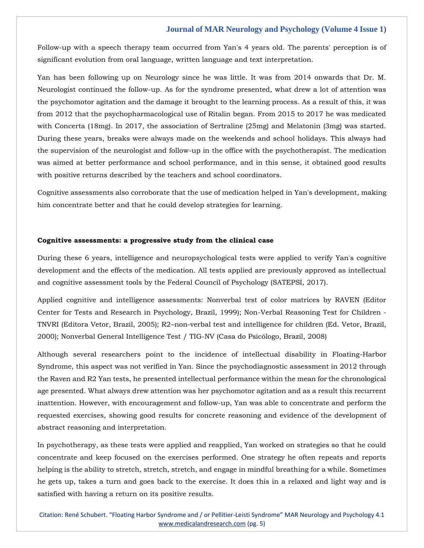Follow-up with a speech therapy team occurred from Yan's 4 years old. The parents' perception is of significant evolution from oral language, written language and text interpretation.

Yan has been following up on Neurology since he was little. It was from 2014 onwards that Dr. M. Neurologist continued the follow-up. As for the syndrome presented, what drew a lot of attention was the psychomotor agitation and the damage it brought to the learning process. As a result of this, it was from 2012 that the psychopharmacological use of Ritalin began. From 2015 to 2017 he was medicated with Concerta (18mg). In 2017, the association of Sertraline (25mg) and Melatonin (3mg) was started. During these years, breaks were always made on the weekends and school holidays. This always had the supervision of the neurologist and follow-up in the office with the psychotherapist. The medication was aimed at better performance and school performance, and in this sense, it obtained good results with positive returns described by the teachers and school coordinators.

Cognitive assessments also corroborate that the use of medication helped in Yan's development, making him concentrate better and that he could develop strategies for learning.

#### **Cognitive assessments: a progressive study from the clinical case**

During these 6 years, intelligence and neuropsychological tests were applied to verify Yan's cognitive development and the effects of the medication. All tests applied are previously approved as intellectual and cognitive assessment tools by the Federal Council of Psychology (SATEPSI, 2017).

Applied cognitive and intelligence assessments: Nonverbal test of color matrices by RAVEN (Editor Center for Tests and Research in Psychology, Brazil, 1999); Non-Verbal Reasoning Test for Children - TNVRI (Editora Vetor, Brazil, 2005); R2–non-verbal test and intelligence for children (Ed. Vetor, Brazil, 2000); Nonverbal General Intelligence Test / TIG-NV (Casa do Psicólogo, Brazil, 2008)

Although several researchers point to the incidence of intellectual disability in Floating-Harbor Syndrome, this aspect was not verified in Yan. Since the psychodiagnostic assessment in 2012 through the Raven and R2 Yan tests, he presented intellectual performance within the mean for the chronological age presented. What always drew attention was her psychomotor agitation and as a result this recurrent inattention. However, with encouragement and follow-up, Yan was able to concentrate and perform the requested exercises, showing good results for concrete reasoning and evidence of the development of abstract reasoning and interpretation.

In psychotherapy, as these tests were applied and reapplied, Yan worked on strategies so that he could concentrate and keep focused on the exercises performed. One strategy he often repeats and reports helping is the ability to stretch, stretch, stretch, and engage in mindful breathing for a while. Sometimes he gets up, takes a turn and goes back to the exercise. It does this in a relaxed and light way and is satisfied with having a return on its positive results.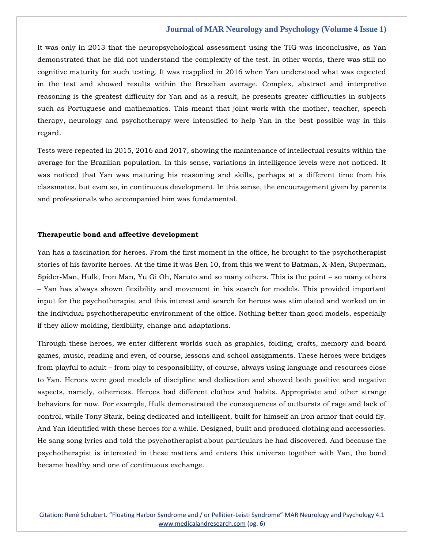It was only in 2013 that the neuropsychological assessment using the TIG was inconclusive, as Yan demonstrated that he did not understand the complexity of the test. In other words, there was still no cognitive maturity for such testing. It was reapplied in 2016 when Yan understood what was expected in the test and showed results within the Brazilian average. Complex, abstract and interpretive reasoning is the greatest difficulty for Yan and as a result, he presents greater difficulties in subjects such as Portuguese and mathematics. This meant that joint work with the mother, teacher, speech therapy, neurology and psychotherapy were intensified to help Yan in the best possible way in this regard.

Tests were repeated in 2015, 2016 and 2017, showing the maintenance of intellectual results within the average for the Brazilian population. In this sense, variations in intelligence levels were not noticed. It was noticed that Yan was maturing his reasoning and skills, perhaps at a different time from his classmates, but even so, in continuous development. In this sense, the encouragement given by parents and professionals who accompanied him was fundamental.

#### **Therapeutic bond and affective development**

Yan has a fascination for heroes. From the first moment in the office, he brought to the psychotherapist stories of his favorite heroes. At the time it was Ben 10, from this we went to Batman, X-Men, Superman, Spider-Man, Hulk, Iron Man, Yu Gi Oh, Naruto and so many others. This is the point – so many others – Yan has always shown flexibility and movement in his search for models. This provided important input for the psychotherapist and this interest and search for heroes was stimulated and worked on in the individual psychotherapeutic environment of the office. Nothing better than good models, especially if they allow molding, flexibility, change and adaptations.

Through these heroes, we enter different worlds such as graphics, folding, crafts, memory and board games, music, reading and even, of course, lessons and school assignments. These heroes were bridges from playful to adult – from play to responsibility, of course, always using language and resources close to Yan. Heroes were good models of discipline and dedication and showed both positive and negative aspects, namely, otherness. Heroes had different clothes and habits. Appropriate and other strange behaviors for now. For example, Hulk demonstrated the consequences of outbursts of rage and lack of control, while Tony Stark, being dedicated and intelligent, built for himself an iron armor that could fly. And Yan identified with these heroes for a while. Designed, built and produced clothing and accessories. He sang song lyrics and told the psychotherapist about particulars he had discovered. And because the psychotherapist is interested in these matters and enters this universe together with Yan, the bond became healthy and one of continuous exchange.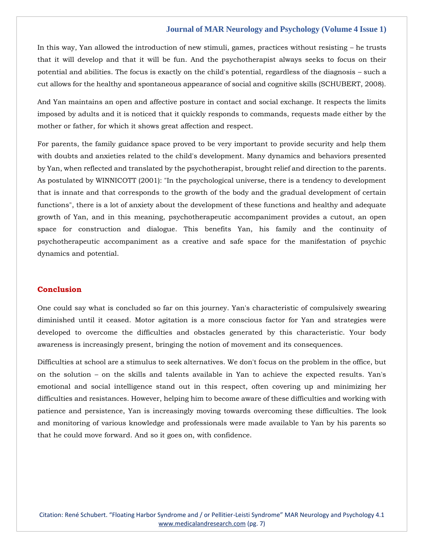In this way, Yan allowed the introduction of new stimuli, games, practices without resisting – he trusts that it will develop and that it will be fun. And the psychotherapist always seeks to focus on their potential and abilities. The focus is exactly on the child's potential, regardless of the diagnosis – such a cut allows for the healthy and spontaneous appearance of social and cognitive skills (SCHUBERT, 2008).

And Yan maintains an open and affective posture in contact and social exchange. It respects the limits imposed by adults and it is noticed that it quickly responds to commands, requests made either by the mother or father, for which it shows great affection and respect.

For parents, the family guidance space proved to be very important to provide security and help them with doubts and anxieties related to the child's development. Many dynamics and behaviors presented by Yan, when reflected and translated by the psychotherapist, brought relief and direction to the parents. As postulated by WINNICOTT (2001): "In the psychological universe, there is a tendency to development that is innate and that corresponds to the growth of the body and the gradual development of certain functions", there is a lot of anxiety about the development of these functions and healthy and adequate growth of Yan, and in this meaning, psychotherapeutic accompaniment provides a cutout, an open space for construction and dialogue. This benefits Yan, his family and the continuity of psychotherapeutic accompaniment as a creative and safe space for the manifestation of psychic dynamics and potential.

## **Conclusion**

One could say what is concluded so far on this journey. Yan's characteristic of compulsively swearing diminished until it ceased. Motor agitation is a more conscious factor for Yan and strategies were developed to overcome the difficulties and obstacles generated by this characteristic. Your body awareness is increasingly present, bringing the notion of movement and its consequences.

Difficulties at school are a stimulus to seek alternatives. We don't focus on the problem in the office, but on the solution – on the skills and talents available in Yan to achieve the expected results. Yan's emotional and social intelligence stand out in this respect, often covering up and minimizing her difficulties and resistances. However, helping him to become aware of these difficulties and working with patience and persistence, Yan is increasingly moving towards overcoming these difficulties. The look and monitoring of various knowledge and professionals were made available to Yan by his parents so that he could move forward. And so it goes on, with confidence.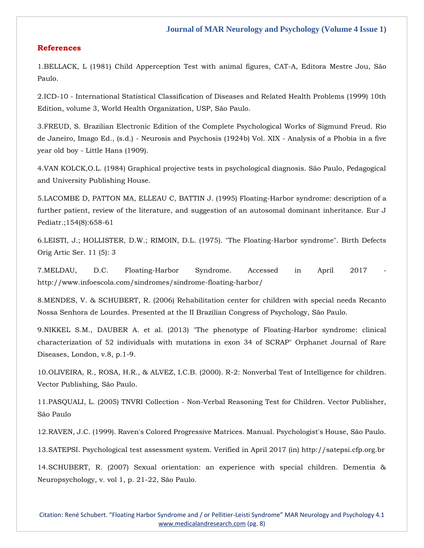### **References**

1.BELLACK, L (1981) [Child Apperception Test with animal figures, CAT-A, Editora Mestre Jou, São](https://www.google.com/search?q=Child+Apperception+Test+with+animal+figures%2C+CAT-A&oq=Child+Apperception+Test+with+animal+figures%2C+CAT-A&aqs=chrome..69i57j33i160l2.445j0j7&sourceid=chrome&ie=UTF-8)  [Paulo.](https://www.google.com/search?q=Child+Apperception+Test+with+animal+figures%2C+CAT-A&oq=Child+Apperception+Test+with+animal+figures%2C+CAT-A&aqs=chrome..69i57j33i160l2.445j0j7&sourceid=chrome&ie=UTF-8)

2.ICD-10 - [International Statistical Classification of Diseases and Related Health Problems \(1999\) 10th](https://www.google.com/search?q=International+Statistical+Classification+of+Diseases+and+Related+Health+Problems&sxsrf=AOaemvIvl-LcfE9oYgdvpVipXMasdocirQ%3A1639568254470&ei=ftO5YcCKHMDC3LUPpcWUwAQ&ved=0ahUKEwjAwZHb2-X0AhVAIbcAHaUiBUgQ4dUDCA4&uact=5&oq=International+Statistical+Classification+of+Diseases+and+Related+Health+Problems&gs_lcp=Cgdnd3Mtd2l6EAMyBQgAEIAEMgUIABCABDIFCAAQgAQyBQgAEIAEMgUIABCABDIFCAAQgAQyBQgAEIAEMgUIABCABDIFCAAQgAQyBQgAEIAEOgcIIxDqAhAnSgQIQRgASgQIRhgAUOgGWOgGYJEJaAFwAngAgAHZAYgB2QGSAQMyLTGYAQCgAQGgAQKwAQrAAQE&sclient=gws-wiz)  [Edition, volume 3, World Health Organization, USP, São Paulo.](https://www.google.com/search?q=International+Statistical+Classification+of+Diseases+and+Related+Health+Problems&sxsrf=AOaemvIvl-LcfE9oYgdvpVipXMasdocirQ%3A1639568254470&ei=ftO5YcCKHMDC3LUPpcWUwAQ&ved=0ahUKEwjAwZHb2-X0AhVAIbcAHaUiBUgQ4dUDCA4&uact=5&oq=International+Statistical+Classification+of+Diseases+and+Related+Health+Problems&gs_lcp=Cgdnd3Mtd2l6EAMyBQgAEIAEMgUIABCABDIFCAAQgAQyBQgAEIAEMgUIABCABDIFCAAQgAQyBQgAEIAEMgUIABCABDIFCAAQgAQyBQgAEIAEOgcIIxDqAhAnSgQIQRgASgQIRhgAUOgGWOgGYJEJaAFwAngAgAHZAYgB2QGSAQMyLTGYAQCgAQGgAQKwAQrAAQE&sclient=gws-wiz)

3[.FREUD, S. Brazilian Electronic Edition of the Complete Psychological Works of Sigmund Freud. Rio](https://www.google.com/search?q=Brazilian+Electronic+Edition+of+the+Complete+Psychological+Works+of+Sigmund+Freud&sxsrf=AOaemvJYHMQ8V9D-rp7mv8Zy_ZziW0RDEQ%3A1639568278581&ei=ltO5YcX4Iszez7sPxt-RyAQ&ved=0ahUKEwjFm9Hm2-X0AhVM73MBHcZvBEkQ4dUDCA4&uact=5&oq=Brazilian+Electronic+Edition+of+the+Complete+Psychological+Works+of+Sigmund+Freud&gs_lcp=Cgdnd3Mtd2l6EAM6BwgjEOoCECdKBAhBGABKBAhGGABQzgZYzgZg5AhoAXACeACAAbYBiAG2AZIBAzAuMZgBAKABAaABArABCsABAQ&sclient=gws-wiz)  de Janeiro, Imago Ed., (s.d.) - [Neurosis and Psychosis \(1924b\) Vol. XIX -](https://www.google.com/search?q=Brazilian+Electronic+Edition+of+the+Complete+Psychological+Works+of+Sigmund+Freud&sxsrf=AOaemvJYHMQ8V9D-rp7mv8Zy_ZziW0RDEQ%3A1639568278581&ei=ltO5YcX4Iszez7sPxt-RyAQ&ved=0ahUKEwjFm9Hm2-X0AhVM73MBHcZvBEkQ4dUDCA4&uact=5&oq=Brazilian+Electronic+Edition+of+the+Complete+Psychological+Works+of+Sigmund+Freud&gs_lcp=Cgdnd3Mtd2l6EAM6BwgjEOoCECdKBAhBGABKBAhGGABQzgZYzgZg5AhoAXACeACAAbYBiAG2AZIBAzAuMZgBAKABAaABArABCsABAQ&sclient=gws-wiz) Analysis of a Phobia in a five year old boy - [Little Hans \(1909\).](https://www.google.com/search?q=Brazilian+Electronic+Edition+of+the+Complete+Psychological+Works+of+Sigmund+Freud&sxsrf=AOaemvJYHMQ8V9D-rp7mv8Zy_ZziW0RDEQ%3A1639568278581&ei=ltO5YcX4Iszez7sPxt-RyAQ&ved=0ahUKEwjFm9Hm2-X0AhVM73MBHcZvBEkQ4dUDCA4&uact=5&oq=Brazilian+Electronic+Edition+of+the+Complete+Psychological+Works+of+Sigmund+Freud&gs_lcp=Cgdnd3Mtd2l6EAM6BwgjEOoCECdKBAhBGABKBAhGGABQzgZYzgZg5AhoAXACeACAAbYBiAG2AZIBAzAuMZgBAKABAaABArABCsABAQ&sclient=gws-wiz)

4[.VAN KOLCK,O.L. \(1984\) Graphical projective tests in psychological diagnosis. São Paulo, Pedagogical](https://www.google.com/search?q=Graphical+projective+tests+in+psychological+diagnosis&oq=Graphical+projective+tests+in+psychological+diagnosis&aqs=chrome..69i57j33i160l2.1302j0j7&sourceid=chrome&ie=UTF-8)  [and University Publishing House.](https://www.google.com/search?q=Graphical+projective+tests+in+psychological+diagnosis&oq=Graphical+projective+tests+in+psychological+diagnosis&aqs=chrome..69i57j33i160l2.1302j0j7&sourceid=chrome&ie=UTF-8)

5[.LACOMBE D, PATTON MA, ELLEAU C, BATTIN J. \(1995\) Floating-Harbor](https://www.google.com/search?q=Floating-Harbor+syndrome%3A+description+of+a+further+patient%2C+review+of+the+literature%2C+and+suggestion+of+an+autosomal+dominant+inheritance&sxsrf=AOaemvILuE-ieVtELV-GrkoVx-esYsq90A%3A1639699537475&ei=UdS7YeTBHKSWseMPpq2niAg&ved=0ahUKEwikruDjxOn0AhUkS2wGHabWCYEQ4dUDCA4&uact=5&oq=Floating-Harbor+syndrome%3A+description+of+a+further+patient%2C+review+of+the+literature%2C+and+suggestion+of+an+autosomal+dominant+inheritance&gs_lcp=Cgdnd3Mtd2l6EANKBAhBGABKBAhGGABQAFgAYABoAHAAeACAAQCIAQCSAQCYAQA&sclient=gws-wiz) syndrome: description of a [further patient, review of the literature, and suggestion of an autosomal dominant inheritance. Eur J](https://www.google.com/search?q=Floating-Harbor+syndrome%3A+description+of+a+further+patient%2C+review+of+the+literature%2C+and+suggestion+of+an+autosomal+dominant+inheritance&sxsrf=AOaemvILuE-ieVtELV-GrkoVx-esYsq90A%3A1639699537475&ei=UdS7YeTBHKSWseMPpq2niAg&ved=0ahUKEwikruDjxOn0AhUkS2wGHabWCYEQ4dUDCA4&uact=5&oq=Floating-Harbor+syndrome%3A+description+of+a+further+patient%2C+review+of+the+literature%2C+and+suggestion+of+an+autosomal+dominant+inheritance&gs_lcp=Cgdnd3Mtd2l6EANKBAhBGABKBAhGGABQAFgAYABoAHAAeACAAQCIAQCSAQCYAQA&sclient=gws-wiz)  [Pediatr.;154\(8\):658-61](https://www.google.com/search?q=Floating-Harbor+syndrome%3A+description+of+a+further+patient%2C+review+of+the+literature%2C+and+suggestion+of+an+autosomal+dominant+inheritance&sxsrf=AOaemvILuE-ieVtELV-GrkoVx-esYsq90A%3A1639699537475&ei=UdS7YeTBHKSWseMPpq2niAg&ved=0ahUKEwikruDjxOn0AhUkS2wGHabWCYEQ4dUDCA4&uact=5&oq=Floating-Harbor+syndrome%3A+description+of+a+further+patient%2C+review+of+the+literature%2C+and+suggestion+of+an+autosomal+dominant+inheritance&gs_lcp=Cgdnd3Mtd2l6EANKBAhBGABKBAhGGABQAFgAYABoAHAAeACAAQCIAQCSAQCYAQA&sclient=gws-wiz)

6[.LEISTI, J.; HOLLISTER, D.W.; RIMOIN, D.L. \(1975\). "The Floating-Harbor](https://www.google.com/search?q=The+Floating-Harbor+syndrome&sxsrf=AOaemvIbDfCn7xwZqJ6Qr3N3cAeV_RI6cw%3A1639699699113&ei=89S7Yf2mBsyd4-EP0aeisAw&ved=0ahUKEwi97Omwxen0AhXMzjgGHdGTCMYQ4dUDCA4&uact=5&oq=The+Floating-Harbor+syndrome&gs_lcp=Cgdnd3Mtd2l6EAMyCAghEBYQHRAeMggIIRAWEB0QHjIICCEQFhAdEB4yCAghEBYQHRAeMggIIRAWEB0QHjIICCEQFhAdEB4yCAghEBYQHRAeMggIIRAWEB0QHjIICCEQFhAdEB4yCAghEBYQHRAeOgcIIxDqAhAnSgQIQRgASgQIRhgAUM8GWM8GYOMIaAFwAngAgAG2AYgBtgGSAQMwLjGYAQCgAQGgAQKwAQrAAQE&sclient=gws-wiz) syndrome". Birth Defects [Orig Artic Ser. 11 \(5\): 3](https://www.google.com/search?q=The+Floating-Harbor+syndrome&sxsrf=AOaemvIbDfCn7xwZqJ6Qr3N3cAeV_RI6cw%3A1639699699113&ei=89S7Yf2mBsyd4-EP0aeisAw&ved=0ahUKEwi97Omwxen0AhXMzjgGHdGTCMYQ4dUDCA4&uact=5&oq=The+Floating-Harbor+syndrome&gs_lcp=Cgdnd3Mtd2l6EAMyCAghEBYQHRAeMggIIRAWEB0QHjIICCEQFhAdEB4yCAghEBYQHRAeMggIIRAWEB0QHjIICCEQFhAdEB4yCAghEBYQHRAeMggIIRAWEB0QHjIICCEQFhAdEB4yCAghEBYQHRAeOgcIIxDqAhAnSgQIQRgASgQIRhgAUM8GWM8GYOMIaAFwAngAgAG2AYgBtgGSAQMwLjGYAQCgAQGgAQKwAQrAAQE&sclient=gws-wiz)

7.MELDAU, D.C. Floating-Harbor Syndrome. Accessed in April 2017 http://www.infoescola.com/sindromes/sindrome-floating-harbor/

8[.MENDES, V. & SCHUBERT, R. \(2006\) Rehabilitation center for children with special needs Recanto](https://www.google.com/search?q=Rehabilitation+center+for+children+with+special+needs+Recanto+Nossa+Senhora+de+Lourdes&sxsrf=AOaemvJMGfC25FievNFhHhaFXjua1IiZcQ%3A1639699725120&ei=DdW7YaTrBsaM4-EP3cGnwAU&ved=0ahUKEwjkpZ29xen0AhVGxjgGHd3gCVgQ4dUDCA4&uact=5&oq=Rehabilitation+center+for+children+with+special+needs+Recanto+Nossa+Senhora+de+Lourdes&gs_lcp=Cgdnd3Mtd2l6EAM6BwgjEOoCECdKBAhBGABKBAhGGABQiwZYiwZgqAhoAXACeACAAcABiAHAAZIBAzAuMZgBAKABAaABArABCsABAQ&sclient=gws-wiz)  [Nossa Senhora de Lourdes. Presented at the II Brazilian Congress of Psychology, São Paulo.](https://www.google.com/search?q=Rehabilitation+center+for+children+with+special+needs+Recanto+Nossa+Senhora+de+Lourdes&sxsrf=AOaemvJMGfC25FievNFhHhaFXjua1IiZcQ%3A1639699725120&ei=DdW7YaTrBsaM4-EP3cGnwAU&ved=0ahUKEwjkpZ29xen0AhVGxjgGHd3gCVgQ4dUDCA4&uact=5&oq=Rehabilitation+center+for+children+with+special+needs+Recanto+Nossa+Senhora+de+Lourdes&gs_lcp=Cgdnd3Mtd2l6EAM6BwgjEOoCECdKBAhBGABKBAhGGABQiwZYiwZgqAhoAXACeACAAcABiAHAAZIBAzAuMZgBAKABAaABArABCsABAQ&sclient=gws-wiz)

9[.NIKKEL S.M., DAUBER A. et al. \(2013\) "The phenotype of Floating-Harbor syndrome: clinical](https://www.google.com/search?q=The+phenotype+of+Floating-Harbor+syndrome%3A+clinical+characterization+of+52+individuals+with+mutations+in+exon+34+of+SCRAP&sxsrf=AOaemvKkj8md7UkWl7FGCQ_b0_iLEpMtog%3A1639699746871&ei=ItW7YbDNNNOM4-EPnJ6CiAg&ved=0ahUKEwiw5szHxen0AhVTxjgGHRyPAIEQ4dUDCA4&uact=5&oq=The+phenotype+of+Floating-Harbor+syndrome%3A+clinical+characterization+of+52+individuals+with+mutations+in+exon+34+of+SCRAP&gs_lcp=Cgdnd3Mtd2l6EAMyBwgjEOoCECcyBwgjEOoCECcyBwgjEOoCECcyBwgjEOoCECcyBwgjEOoCECcyBwgjEOoCECcyBwgjEOoCECcyBwgjEOoCECcyBwgjEOoCECcyBwgjEOoCECdKBAhBGABKBAhGGABQzwdYzwdgvwloAXACeACAAQCIAQCSAQCYAQCgAQGgAQKwAQrAAQE&sclient=gws-wiz)  [characterization of 52 individuals with mutations in exon 34 of SCRAP" Orphanet Journal of Rare](https://www.google.com/search?q=The+phenotype+of+Floating-Harbor+syndrome%3A+clinical+characterization+of+52+individuals+with+mutations+in+exon+34+of+SCRAP&sxsrf=AOaemvKkj8md7UkWl7FGCQ_b0_iLEpMtog%3A1639699746871&ei=ItW7YbDNNNOM4-EPnJ6CiAg&ved=0ahUKEwiw5szHxen0AhVTxjgGHRyPAIEQ4dUDCA4&uact=5&oq=The+phenotype+of+Floating-Harbor+syndrome%3A+clinical+characterization+of+52+individuals+with+mutations+in+exon+34+of+SCRAP&gs_lcp=Cgdnd3Mtd2l6EAMyBwgjEOoCECcyBwgjEOoCECcyBwgjEOoCECcyBwgjEOoCECcyBwgjEOoCECcyBwgjEOoCECcyBwgjEOoCECcyBwgjEOoCECcyBwgjEOoCECcyBwgjEOoCECdKBAhBGABKBAhGGABQzwdYzwdgvwloAXACeACAAQCIAQCSAQCYAQCgAQGgAQKwAQrAAQE&sclient=gws-wiz)  [Diseases, London, v.8, p.1-9.](https://www.google.com/search?q=The+phenotype+of+Floating-Harbor+syndrome%3A+clinical+characterization+of+52+individuals+with+mutations+in+exon+34+of+SCRAP&sxsrf=AOaemvKkj8md7UkWl7FGCQ_b0_iLEpMtog%3A1639699746871&ei=ItW7YbDNNNOM4-EPnJ6CiAg&ved=0ahUKEwiw5szHxen0AhVTxjgGHRyPAIEQ4dUDCA4&uact=5&oq=The+phenotype+of+Floating-Harbor+syndrome%3A+clinical+characterization+of+52+individuals+with+mutations+in+exon+34+of+SCRAP&gs_lcp=Cgdnd3Mtd2l6EAMyBwgjEOoCECcyBwgjEOoCECcyBwgjEOoCECcyBwgjEOoCECcyBwgjEOoCECcyBwgjEOoCECcyBwgjEOoCECcyBwgjEOoCECcyBwgjEOoCECcyBwgjEOoCECdKBAhBGABKBAhGGABQzwdYzwdgvwloAXACeACAAQCIAQCSAQCYAQCgAQGgAQKwAQrAAQE&sclient=gws-wiz)

10[.OLIVEIRA, R., ROSA, H.R., & ALVEZ, I.C.B. \(2000\). R-2: Nonverbal Test of](https://www.google.com/search?q=R-2%3A+Nonverbal+Test+of+Intelligence+for+children&sxsrf=AOaemvLzIakxogMD_YyO0mzDxy5lkihFjA%3A1639699764678&ei=NNW7Yd35KI6b4-EPwYCi0A8&ved=0ahUKEwjd44vQxen0AhWOzTgGHUGACPoQ4dUDCA4&uact=5&oq=R-2%3A+Nonverbal+Test+of+Intelligence+for+children&gs_lcp=Cgdnd3Mtd2l6EAMyBwgjEOoCECcyBwgjEOoCECcyBwgjEOoCECcyBwgjEOoCECcyBwgjEOoCECcyBwgjEOoCECcyBwgjEOoCECcyBwgjEOoCECcyBwgjEOoCECcyBwgjEOoCECdKBAhBGABKBAhGGABQkgZYkgZgqQhoAXAAeACAAQCIAQCSAQCYAQCgAQGgAQKwAQrAAQE&sclient=gws-wiz) Intelligence for children. [Vector Publishing, São Paulo.](https://www.google.com/search?q=R-2%3A+Nonverbal+Test+of+Intelligence+for+children&sxsrf=AOaemvLzIakxogMD_YyO0mzDxy5lkihFjA%3A1639699764678&ei=NNW7Yd35KI6b4-EPwYCi0A8&ved=0ahUKEwjd44vQxen0AhWOzTgGHUGACPoQ4dUDCA4&uact=5&oq=R-2%3A+Nonverbal+Test+of+Intelligence+for+children&gs_lcp=Cgdnd3Mtd2l6EAMyBwgjEOoCECcyBwgjEOoCECcyBwgjEOoCECcyBwgjEOoCECcyBwgjEOoCECcyBwgjEOoCECcyBwgjEOoCECcyBwgjEOoCECcyBwgjEOoCECcyBwgjEOoCECdKBAhBGABKBAhGGABQkgZYkgZgqQhoAXAAeACAAQCIAQCSAQCYAQCgAQGgAQKwAQrAAQE&sclient=gws-wiz)

11.PASQUALI, L. (2005) TNVRI Collection - [Non-Verbal Reasoning Test for Children. Vector Publisher,](https://www.google.com/search?q=%29+TNVRI+Collection+-+Non-Verbal+Reasoning+Test+for+Children&sxsrf=AOaemvLQmYuRicYUIr3h7bNIvQxUL89dJg%3A1639699786811&ei=StW7Ycf6MKmU4-EP8oq8qA0&ved=0ahUKEwjHx9Laxen0AhUpyjgGHXIFD9UQ4dUDCA4&uact=5&oq=%29+TNVRI+Collection+-+Non-Verbal+Reasoning+Test+for+Children&gs_lcp=Cgdnd3Mtd2l6EAM6BwgjEOoCECdKBAhBGABKBAhGGABQ6AVY6AVg8wdoAXACeACAAcgBiAHIAZIBAzItMZgBAKABAaABArABCsABAQ&sclient=gws-wiz)  [São Paulo](https://www.google.com/search?q=%29+TNVRI+Collection+-+Non-Verbal+Reasoning+Test+for+Children&sxsrf=AOaemvLQmYuRicYUIr3h7bNIvQxUL89dJg%3A1639699786811&ei=StW7Ycf6MKmU4-EP8oq8qA0&ved=0ahUKEwjHx9Laxen0AhUpyjgGHXIFD9UQ4dUDCA4&uact=5&oq=%29+TNVRI+Collection+-+Non-Verbal+Reasoning+Test+for+Children&gs_lcp=Cgdnd3Mtd2l6EAM6BwgjEOoCECdKBAhBGABKBAhGGABQ6AVY6AVg8wdoAXACeACAAcgBiAHIAZIBAzItMZgBAKABAaABArABCsABAQ&sclient=gws-wiz)

12[.RAVEN, J.C. \(1999\). Raven's Colored Progressive Matrices. Manual. Psychologist's House, São Paulo.](https://www.google.com/search?q=Raven%27s+Colored+Progressive+Matrices&sxsrf=AOaemvIsX3zuu2epKOmYK38A2nJCQT7Itg%3A1639699817464&ei=adW7YYfuG4_H4-EPxM6amAg&ved=0ahUKEwjHxqHpxen0AhWP4zgGHUSnBoMQ4dUDCA4&uact=5&oq=Raven%27s+Colored+Progressive+Matrices&gs_lcp=Cgdnd3Mtd2l6EAMyBwgjEOoCECcyBwgjEOoCECcyBwgjEOoCECcyBwgjEOoCECcyBwgjEOoCECcyBwgjEOoCECcyBwgjEOoCECcyBwgjEOoCECcyBwgjEOoCECcyBwgjEOoCECdKBAhBGABKBAhGGABQ1wVY1wVgsgdoAXACeACAAQCIAQCSAQCYAQCgAQGgAQKwAQrAAQE&sclient=gws-wiz)

13.SATEPSI. Psychological test assessment system. Verified in April 2017 (in) http://satepsi.cfp.org.br

14[.SCHUBERT, R. \(2007\) Sexual orientation: an experience with special children. Dementia &](https://www.google.com/search?q=Sexual+orientation%3A+an+experience+with+special+children&sxsrf=AOaemvLnBB15eQW1vQReILf3ikBVLrTvkw%3A1639699834318&ei=etW7YbHgEoSJ4-EPsc6pyAw&ved=0ahUKEwixhabxxen0AhWExDgGHTFnCskQ4dUDCA4&uact=5&oq=Sexual+orientation%3A+an+experience+with+special+children&gs_lcp=Cgdnd3Mtd2l6EAM6BwgjEOoCECdKBAhBGABKBAhGGABQiAZYiAZghQhoAXACeACAAcQBiAHEAZIBAzAuMZgBAKABAaABArABCsABAQ&sclient=gws-wiz)  [Neuropsychology, v. vol 1, p. 21-22, São Paulo.](https://www.google.com/search?q=Sexual+orientation%3A+an+experience+with+special+children&sxsrf=AOaemvLnBB15eQW1vQReILf3ikBVLrTvkw%3A1639699834318&ei=etW7YbHgEoSJ4-EPsc6pyAw&ved=0ahUKEwixhabxxen0AhWExDgGHTFnCskQ4dUDCA4&uact=5&oq=Sexual+orientation%3A+an+experience+with+special+children&gs_lcp=Cgdnd3Mtd2l6EAM6BwgjEOoCECdKBAhBGABKBAhGGABQiAZYiAZghQhoAXACeACAAcQBiAHEAZIBAzAuMZgBAKABAaABArABCsABAQ&sclient=gws-wiz)

Citation: René Schubert. "Floating Harbor Syndrome and / or Pellitier-Leisti Syndrome" MAR Neurology and Psychology 4.1 [www.medicalandresearch.com](http://www.medicalandresearch.com/) (pg. 8)